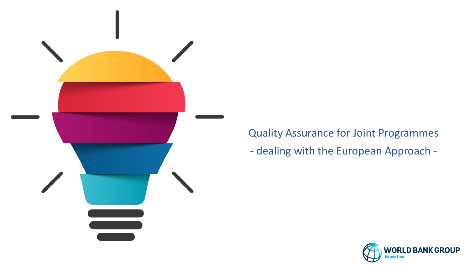

Quality Assurance for Joint Programmes - dealing with the European Approach -

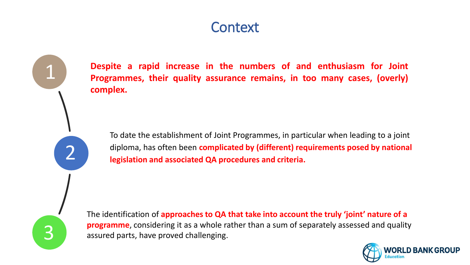# **Context**

1 2 3

**Despite a rapid increase in the numbers of and enthusiasm for Joint Programmes, their quality assurance remains, in too many cases, (overly) complex.**

To date the establishment of Joint Programmes, in particular when leading to a joint diploma, has often been **complicated by (different) requirements posed by national legislation and associated QA procedures and criteria.** 

The identification of **approaches to QA that take into account the truly 'joint' nature of a programme**, considering it as a whole rather than a sum of separately assessed and quality assured parts, have proved challenging.

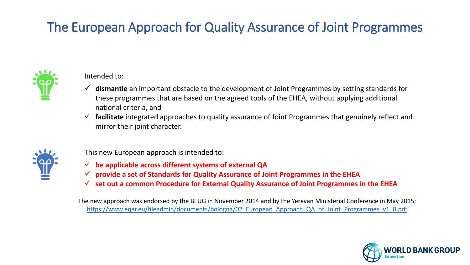# The European Approach for Quality Assurance of Joint Programmes



Intended to:

- ✓ **dismantle** an important obstacle to the development of Joint Programmes by setting standards for these programmes that are based on the agreed tools of the EHEA, without applying additional national criteria, and
- ✓ **facilitate** integrated approaches to quality assurance of Joint Programmes that genuinely reflect and mirror their joint character.



This new European approach is intended to:

- ✓ **be applicable across different systems of external QA**
- ✓ **provide a set of Standards for Quality Assurance of Joint Programmes in the EHEA**
- ✓ **set out a common Procedure for External Quality Assurance of Joint Programmes in the EHEA**

The new approach was endorsed by the BFUG in November 2014 and by the Yerevan Ministerial Conference in May 2015; https://www.eqar.eu/fileadmin/documents/bologna/02 European Approach QA of Joint Programmes v1 0.pdf

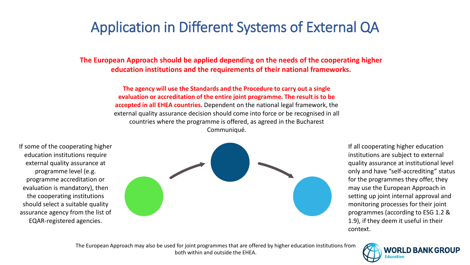# Application in Different Systems of External QA

**The European Approach should be applied depending on the needs of the cooperating higher education institutions and the requirements of their national frameworks.** 

> **The agency will use the Standards and the Procedure to carry out a single evaluation or accreditation of the entire joint programme. The result is to be accepted in all EHEA countries.** Dependent on the national legal framework, the external quality assurance decision should come into force or be recognised in all countries where the programme is offered, as agreed in the Bucharest Communiqué.

If some of the cooperating higher education institutions require external quality assurance at programme level (e.g. programme accreditation or evaluation is mandatory), then the cooperating institutions should select a suitable quality assurance agency from the list of EQAR-registered agencies.



If all cooperating higher education institutions are subject to external quality assurance at institutional level only and have "self-accrediting" status for the programmes they offer, they may use the European Approach in setting up joint internal approval and monitoring processes for their joint programmes (according to ESG 1.2 & 1.9), if they deem it useful in their context.

The European Approach may also be used for joint programmes that are offered by higher education institutions from both within and outside the EHEA.

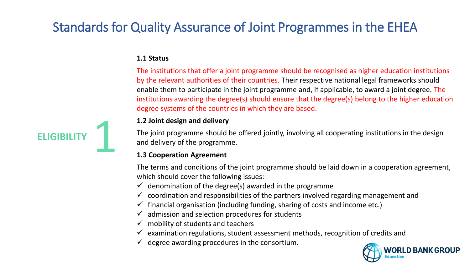#### **1.1 Status**

The institutions that offer a joint programme should be recognised as higher education institutions by the relevant authorities of their countries. Their respective national legal frameworks should enable them to participate in the joint programme and, if applicable, to award a joint degree. The institutions awarding the degree(s) should ensure that the degree(s) belong to the higher education degree systems of the countries in which they are based.



#### **1.2 Joint design and delivery**

The joint programme should be offered jointly, involving all cooperating institutions in the design and delivery of the programme.

#### **1.3 Cooperation Agreement**

The terms and conditions of the joint programme should be laid down in a cooperation agreement, which should cover the following issues:

- $\checkmark$  denomination of the degree(s) awarded in the programme
- $\checkmark$  coordination and responsibilities of the partners involved regarding management and
- $\checkmark$  financial organisation (including funding, sharing of costs and income etc.)
- $\checkmark$  admission and selection procedures for students
- $\checkmark$  mobility of students and teachers
- $\checkmark$  examination regulations, student assessment methods, recognition of credits and
- $\checkmark$  degree awarding procedures in the consortium.

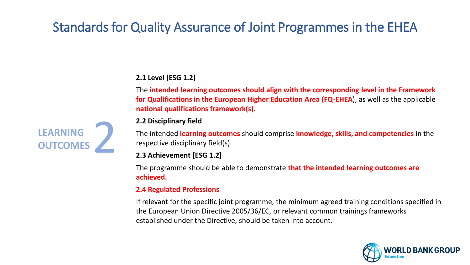### **2.1 Level [ESG 1.2]**

The **intended learning outcomes should align with the corresponding level in the Framework for Qualifications in the European Higher Education Area (FQ-EHEA**), as well as the applicable **national qualifications framework(s)**.

#### **2.2 Disciplinary field**

The intended **learning outcomes** should comprise **knowledge, skills, and competencies** in the respective disciplinary field(s).

#### **2.3 Achievement [ESG 1.2]**

The programme should be able to demonstrate **that the intended learning outcomes are achieved.**

#### **2.4 Regulated Professions**

If relevant for the specific joint programme, the minimum agreed training conditions specified in the European Union Directive 2005/36/EC, or relevant common trainings frameworks established under the Directive, should be taken into account.



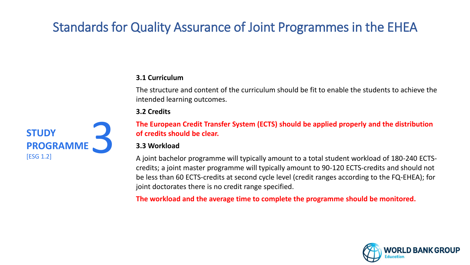### **3.1 Curriculum**

The structure and content of the curriculum should be fit to enable the students to achieve the intended learning outcomes.

#### **3.2 Credits**

**The European Credit Transfer System (ECTS) should be applied properly and the distribution of credits should be clear.**

#### **3.3 Workload**

A joint bachelor programme will typically amount to a total student workload of 180-240 ECTScredits; a joint master programme will typically amount to 90-120 ECTS-credits and should not be less than 60 ECTS-credits at second cycle level (credit ranges according to the FQ-EHEA); for joint doctorates there is no credit range specified.

**The workload and the average time to complete the programme should be monitored.**



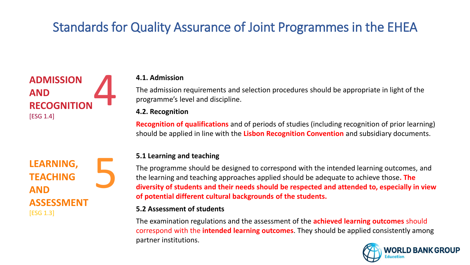

#### **4.1. Admission**

The admission requirements and selection procedures should be appropriate in light of the programme's level and discipline.

#### **4.2. Recognition**

**Recognition of qualifications** and of periods of studies (including recognition of prior learning) should be applied in line with the **Lisbon Recognition Convention** and subsidiary documents.

### **LEARNING, TEACHING AND ASSESSMENT** [ESG 1.3] 5

#### **5.1 Learning and teaching**

The programme should be designed to correspond with the intended learning outcomes, and the learning and teaching approaches applied should be adequate to achieve those**. The diversity of students and their needs should be respected and attended to, especially in view of potential different cultural backgrounds of the students.**

#### **5.2 Assessment of students**

The examination regulations and the assessment of the **achieved learning outcomes** should correspond with the **intended learning outcomes**. They should be applied consistently among partner institutions.

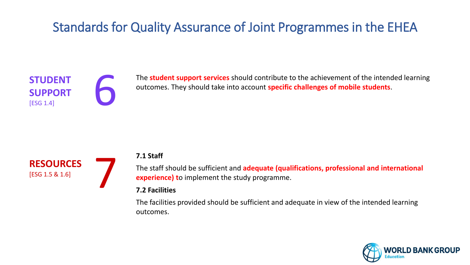



The **student support services** should contribute to the achievement of the intended learning outcomes. They should take into account **specific challenges of mobile students**.



### **7.1 Staff**

The staff should be sufficient and **adequate (qualifications, professional and international experience) t**o implement the study programme.

### **7.2 Facilities**

The facilities provided should be sufficient and adequate in view of the intended learning outcomes.

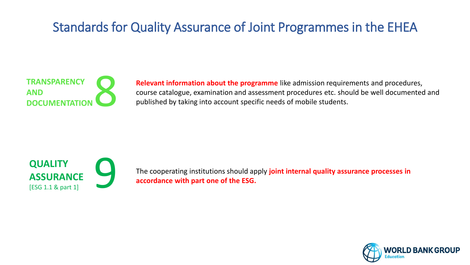

**Relevant information about the programme** like admission requirements and procedures, course catalogue, examination and assessment procedures etc. should be well documented and published by taking into account specific needs of mobile students.



The cooperating institutions should apply **joint internal quality assurance processes in accordance with part one of the ESG.**

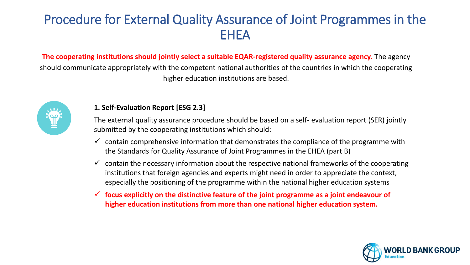**The cooperating institutions should jointly select a suitable EQAR-registered quality assurance agency.** The agency should communicate appropriately with the competent national authorities of the countries in which the cooperating higher education institutions are based.



#### **1. Self-Evaluation Report [ESG 2.3]**

The external quality assurance procedure should be based on a self- evaluation report (SER) jointly submitted by the cooperating institutions which should:

- $\checkmark$  contain comprehensive information that demonstrates the compliance of the programme with the Standards for Quality Assurance of Joint Programmes in the EHEA (part B)
- $\checkmark$  contain the necessary information about the respective national frameworks of the cooperating institutions that foreign agencies and experts might need in order to appreciate the context, especially the positioning of the programme within the national higher education systems
- ✓ **focus explicitly on the distinctive feature of the joint programme as a joint endeavour of higher education institutions from more than one national higher education system.**

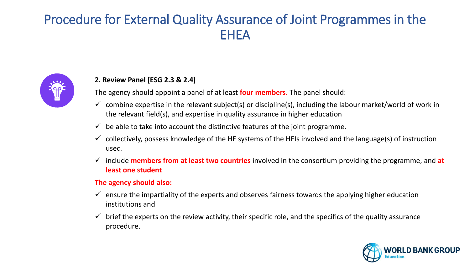

### **2. Review Panel [ESG 2.3 & 2.4]**

The agency should appoint a panel of at least **four members**. The panel should:

- $\checkmark$  combine expertise in the relevant subject(s) or discipline(s), including the labour market/world of work in the relevant field(s), and expertise in quality assurance in higher education
- $\checkmark$  be able to take into account the distinctive features of the joint programme.
- $\checkmark$  collectively, possess knowledge of the HE systems of the HEIs involved and the language(s) of instruction used.
- ✓ include **members from at least two countries** involved in the consortium providing the programme, and **at least one student**

#### **The agency should also:**

- $\checkmark$  ensure the impartiality of the experts and observes fairness towards the applying higher education institutions and
- brief the experts on the review activity, their specific role, and the specifics of the quality assurance procedure.

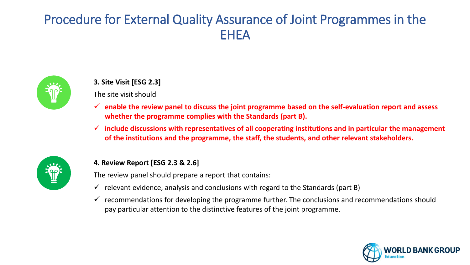

### **3. Site Visit [ESG 2.3]**

### The site visit should

- ✓ **enable the review panel to discuss the joint programme based on the self-evaluation report and assess whether the programme complies with the Standards (part B).**
- ✓ **include discussions with representatives of all cooperating institutions and in particular the management of the institutions and the programme, the staff, the students, and other relevant stakeholders.**



### **4. Review Report [ESG 2.3 & 2.6]**

The review panel should prepare a report that contains:

- $\checkmark$  relevant evidence, analysis and conclusions with regard to the Standards (part B)
- $\checkmark$  recommendations for developing the programme further. The conclusions and recommendations should pay particular attention to the distinctive features of the joint programme.

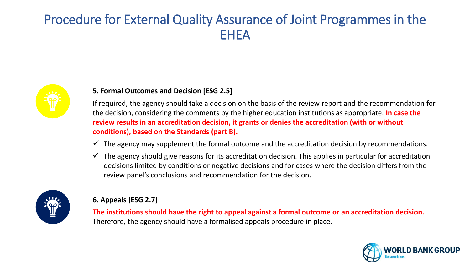

### **5. Formal Outcomes and Decision [ESG 2.5]**

If required, the agency should take a decision on the basis of the review report and the recommendation for the decision, considering the comments by the higher education institutions as appropriate. **In case the review results in an accreditation decision, it grants or denies the accreditation (with or without conditions), based on the Standards (part B).** 

- $\checkmark$  The agency may supplement the formal outcome and the accreditation decision by recommendations.
- $\checkmark$  The agency should give reasons for its accreditation decision. This applies in particular for accreditation decisions limited by conditions or negative decisions and for cases where the decision differs from the review panel's conclusions and recommendation for the decision.



### **6. Appeals [ESG 2.7]**

**The institutions should have the right to appeal against a formal outcome or an accreditation decision.** Therefore, the agency should have a formalised appeals procedure in place.

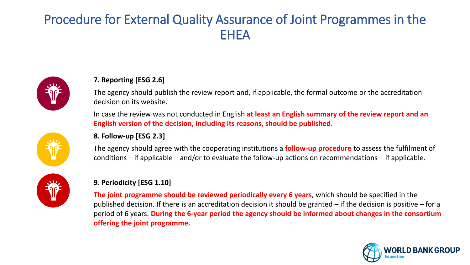

### **7. Reporting [ESG 2.6]**

The agency should publish the review report and, if applicable, the formal outcome or the accreditation decision on its website.

In case the review was not conducted in English **at least an English summary of the review report and an English version of the decision, including its reasons, should be published.**

#### **8. Follow-up [ESG 2.3]**

The agency should agree with the cooperating institutions a **follow-up procedure** to assess the fulfilment of conditions – if applicable – and/or to evaluate the follow-up actions on recommendations – if applicable.



#### **9. Periodicity [ESG 1.10]**

**The joint programme should be reviewed periodically every 6 years**, which should be specified in the published decision. If there is an accreditation decision it should be granted – if the decision is positive – for a period of 6 years. **During the 6-year period the agency should be informed about changes in the consortium offering the joint programme.**

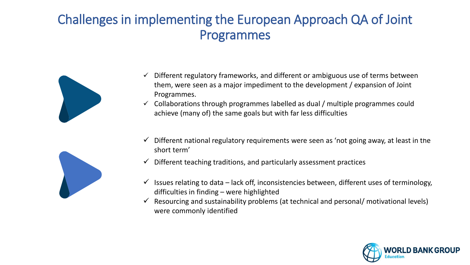## Challenges in implementing the European Approach QA of Joint Programmes



- Different regulatory frameworks, and different or ambiguous use of terms between them, were seen as a major impediment to the development / expansion of Joint Programmes.
- $\checkmark$  Collaborations through programmes labelled as dual / multiple programmes could achieve (many of) the same goals but with far less difficulties
- ✓ Different national regulatory requirements were seen as 'not going away, at least in the **08**short term'
- Different teaching traditions, and particularly assessment practices
- Issues relating to data lack off, inconsistencies between, different uses of terminology, difficulties in finding – were highlighted
- Resourcing and sustainability problems (at technical and personal/ motivational levels) were commonly identified



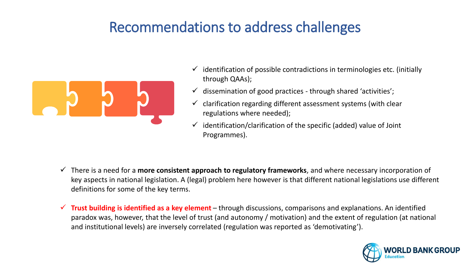# Recommendations to address challenges



- $\checkmark$  identification of possible contradictions in terminologies etc. (initially through QAAs);
- $\checkmark$  dissemination of good practices through shared 'activities';
- $\checkmark$  clarification regarding different assessment systems (with clear regulations where needed);
- identification/clarification of the specific (added) value of Joint Programmes).

- ✓ There is a need for a **more consistent approach to regulatory frameworks**, and where necessary incorporation of key aspects in national legislation. A (legal) problem here however is that different national legislations use different definitions for some of the key terms.
- ✓ **Trust building is identified as a key element** through discussions, comparisons and explanations. An identified paradox was, however, that the level of trust (and autonomy / motivation) and the extent of regulation (at national and institutional levels) are inversely correlated (regulation was reported as 'demotivating').

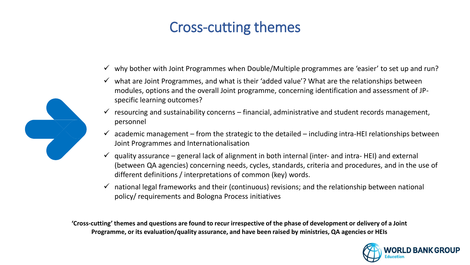# Cross-cutting themes

- $\checkmark$  why bother with Joint Programmes when Double/Multiple programmes are 'easier' to set up and run?
- $\checkmark$  what are Joint Programmes, and what is their 'added value'? What are the relationships between modules, options and the overall Joint programme, concerning identification and assessment of JPspecific learning outcomes?
- $\checkmark$  resourcing and sustainability concerns financial, administrative and student records management, personnel
- $\checkmark$  academic management from the strategic to the detailed including intra-HEI relationships between Joint Programmes and Internationalisation
- $\checkmark$  quality assurance general lack of alignment in both internal (inter- and intra- HEI) and external (between QA agencies) concerning needs, cycles, standards, criteria and procedures, and in the use of different definitions / interpretations of common (key) words.
- $\checkmark$  national legal frameworks and their (continuous) revisions; and the relationship between national policy/ requirements and Bologna Process initiatives

**'Cross-cutting' themes and questions are found to recur irrespective of the phase of development or delivery of a Joint Programme, or its evaluation/quality assurance, and have been raised by ministries, QA agencies or HEIs**